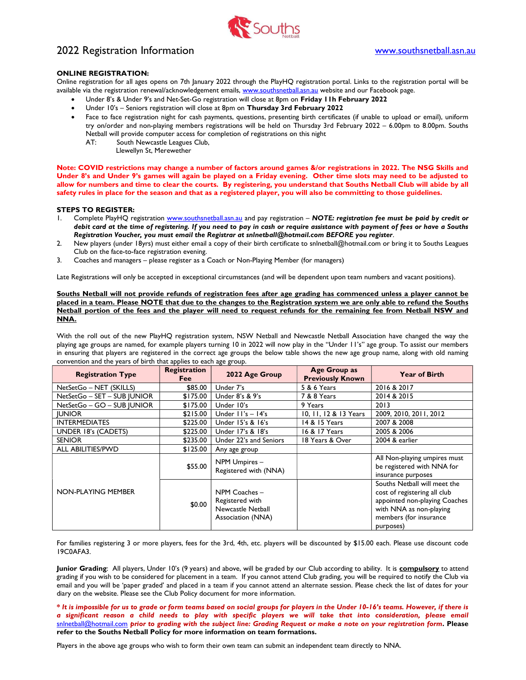

# 2022 Registration Information www.southsnetball.asn.au

# ONLINE REGISTRATION:

Online registration for all ages opens on 7th January 2022 through the PlayHQ registration portal. Links to the registration portal will be available via the registration renewal/acknowledgement emails, www.southsnetball.asn.au website and our Facebook page.

- Under 8's & Under 9's and Net-Set-Go registration will close at 8pm on Friday 11h February 2022
- Under 10's Seniors registration will close at 8pm on Thursday 3rd February 2022
- Face to face registration night for cash payments, questions, presenting birth certificates (if unable to upload or email), uniform try on/order and non-playing members registrations will be held on Thursday 3rd February 2022 – 6.00pm to 8.00pm. Souths Netball will provide computer access for completion of registrations on this night
	- AT: South Newcastle Leagues Club,
		- Llewellyn St, Merewether

Note: COVID restrictions may change a number of factors around games &/or registrations in 2022. The NSG Skills and Under 8's and Under 9's games will again be played on a Friday evening. Other time slots may need to be adjusted to allow for numbers and time to clear the courts. By registering, you understand that Souths Netball Club will abide by all safety rules in place for the season and that as a registered player, you will also be committing to those guidelines.

## STEPS TO REGISTER:

- 1. Complete PlayHQ registration www.southsnetball.asn.au and pay registration NOTE: registration fee must be paid by credit or debit card at the time of registering. If you need to pay in cash or require assistance with payment of fees or have a Souths Registration Voucher, you must email the Registrar at snlnetball@hotmail.com BEFORE you register.
- 2. New players (under 18yrs) must either email a copy of their birth certificate to snlnetball@hotmail.com or bring it to Souths Leagues Club on the face-to-face registration evening.
- 3. Coaches and managers please register as a Coach or Non-Playing Member (for managers)

Late Registrations will only be accepted in exceptional circumstances (and will be dependent upon team numbers and vacant positions).

Souths Netball will not provide refunds of registration fees after age grading has commenced unless a player cannot be placed in a team. Please NOTE that due to the changes to the Registration system we are only able to refund the Souths Netball portion of the fees and the player will need to request refunds for the remaining fee from Netball NSW and NNA.

With the roll out of the new PlayHQ registration system, NSW Netball and Newcastle Netball Association have changed the way the playing age groups are named, for example players turning 10 in 2022 will now play in the "Under 11's" age group. To assist our members in ensuring that players are registered in the correct age groups the below table shows the new age group name, along with old naming convention and the years of birth that applies to each age group.

| <b>Registration Type</b>    | Registration<br><b>Fee</b> | 2022 Age Group                                                             | Age Group as<br><b>Previously Known</b> | <b>Year of Birth</b>                                                                                                                                            |
|-----------------------------|----------------------------|----------------------------------------------------------------------------|-----------------------------------------|-----------------------------------------------------------------------------------------------------------------------------------------------------------------|
| NetSetGo - NET (SKILLS)     | \$85.00                    | Under 7's                                                                  | 5 & 6 Years                             | 2016 & 2017                                                                                                                                                     |
| NetSetGo - SET - SUB JUNIOR | \$175.00                   | Under 8's & 9's                                                            | 7 & 8 Years                             | 2014 & 2015                                                                                                                                                     |
| NetSetGo - GO - SUB JUNIOR  | \$175.00                   | Under 10's                                                                 | 9 Years                                 | 2013                                                                                                                                                            |
| <b>IUNIOR</b>               | \$215.00                   | Under $11's - 14's$                                                        | 10, 11, 12 & 13 Years                   | 2009, 2010, 2011, 2012                                                                                                                                          |
| <b>INTERMEDIATES</b>        | \$225.00                   | Under 15's & 16's                                                          | 14 & 15 Years                           | 2007 & 2008                                                                                                                                                     |
| UNDER 18's (CADETS)         | \$225.00                   | Under 17's & 18's                                                          | 16 & 17 Years                           | 2005 & 2006                                                                                                                                                     |
| <b>SENIOR</b>               | \$235.00                   | Under 22's and Seniors                                                     | 18 Years & Over                         | 2004 & earlier                                                                                                                                                  |
| <b>ALL ABILITIES/PWD</b>    | \$125.00                   | Any age group                                                              |                                         |                                                                                                                                                                 |
| <b>NON-PLAYING MEMBER</b>   | \$55.00                    | NPM Umpires -<br>Registered with (NNA)                                     |                                         | All Non-playing umpires must<br>be registered with NNA for<br>insurance purposes                                                                                |
|                             | \$0.00                     | NPM Coaches -<br>Registered with<br>Newcastle Netball<br>Association (NNA) |                                         | Souths Netball will meet the<br>cost of registering all club<br>appointed non-playing Coaches<br>with NNA as non-playing<br>members (for insurance<br>purposes) |

For families registering 3 or more players, fees for the 3rd, 4th, etc. players will be discounted by \$15.00 each. Please use discount code 19C0AFA3.

Junior Grading: All players, Under 10's (9 years) and above, will be graded by our Club according to ability. It is compulsory to attend grading if you wish to be considered for placement in a team. If you cannot attend Club grading, you will be required to notify the Club via email and you will be 'paper graded' and placed in a team if you cannot attend an alternate session. Please check the list of dates for your diary on the website. Please see the Club Policy document for more information.

\* It is impossible for us to grade or form teams based on social groups for players in the Under 10-16's teams. However, if there is a significant reason a child needs to play with specific players we will take that into consideration, please email snlnetball@hotmail.com prior to grading with the subject line: Grading Request or make a note on your registration form. Please refer to the Souths Netball Policy for more information on team formations.

Players in the above age groups who wish to form their own team can submit an independent team directly to NNA.